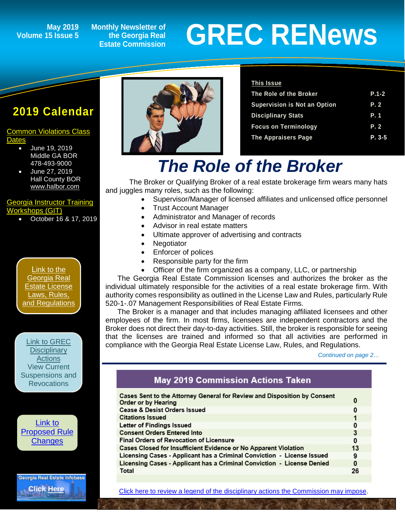## **Volume 15 Issue 5**

**Monthly Newsletter of the Georgia Real Estate Commission**

# May 2019 Monthly Newsletter of<br> **GREC RENEWS**<br>
Estate Commission

### **2019 Calendar**

#### [Common Violations Class](http://www.grec.state.ga.us/PDFS/About/newsarticles/2019%20Course%20Dates%20and%20Locations_.pdf)  **[Dates](http://www.grec.state.ga.us/PDFS/About/newsarticles/2019%20Course%20Dates%20and%20Locations_.pdf)**

- June 19, 2019 Middle GA BOR 478-493-9000
- June 27, 2019 Hall County BOR [www.halbor.com](http://www.halbor.com/)

#### [Georgia Instructor Training](http://www.grec-git.com/Instructor-Training/Current-GIT-Class-Sched)  [Workshops \(GIT\)](http://www.grec-git.com/Instructor-Training/Current-GIT-Class-Sched)

• October 16 & 17, 2019

[Link to the](http://www.grec.state.ga.us/about/relaw.html)  [Georgia Real](http://www.grec.state.ga.us/about/relaw.html)  [Estate License](http://www.grec.state.ga.us/about/relaw.html)  [Laws, Rules,](http://www.grec.state.ga.us/about/relaw.html)  [and Regulations](http://www.grec.state.ga.us/about/relaw.html)

[Link to GREC](http://www.grec.state.ga.us/about/resanctions.html)  **Disciplinary** [Actions](http://www.grec.state.ga.us/about/resanctions.html) View Current [Suspensions and](http://www.grec.state.ga.us/about/resanctions.html)  **Revocations** 

[Link to](http://www.grec.state.ga.us/about/reproposed.html)  [Proposed Rule](http://www.grec.state.ga.us/about/reproposed.html)  **[Changes](http://www.grec.state.ga.us/about/reproposed.html)** 

**Georgia Real Estate Infobase [Click Here](https://www.grec.state.ga.us/infobase/infobase.html)**



#### **This Issue**

| The Role of the Broker              | $P.1 - 2$ |
|-------------------------------------|-----------|
| <b>Supervision is Not an Option</b> | P. 2      |
| <b>Disciplinary Stats</b>           | P. 1      |
| <b>Focus on Terminology</b>         | P.2       |
| <b>The Appraisers Page</b>          | $P. 3-5$  |
|                                     |           |

## *The Role of the Broker*

The Broker or Qualifying Broker of a real estate brokerage firm wears many hats and juggles many roles, such as the following:

- Supervisor/Manager of licensed affiliates and unlicensed office personnel
- Trust Account Manager
- Administrator and Manager of records
- Advisor in real estate matters
- Ultimate approver of advertising and contracts
- **Negotiator**
- Enforcer of polices
- Responsible party for the firm
- Officer of the firm organized as a company, LLC, or partnership

The Georgia Real Estate Commission licenses and authorizes the broker as the individual ultimately responsible for the activities of a real estate brokerage firm. With authority comes responsibility as outlined in the License Law and Rules, particularly Rule 520-1-.07 Management Responsibilities of Real Estate Firms.

The Broker is a manager and that includes managing affiliated licensees and other employees of the firm. In most firms, licensees are independent contractors and the Broker does not direct their day-to-day activities. Still, the broker is responsible for seeing that the licenses are trained and informed so that all activities are performed in compliance with the Georgia Real Estate License Law, Rules, and Regulations.

*Continued on page 2…*

#### **May 2019 Commission Actions Taken**

| Cases Sent to the Attorney General for Review and Disposition by Consent<br>Order or by Hearing | 0  |
|-------------------------------------------------------------------------------------------------|----|
| <b>Cease &amp; Desist Orders Issued</b>                                                         | 0  |
| <b>Citations Issued</b>                                                                         |    |
| Letter of Findings Issued                                                                       | 0  |
| <b>Consent Orders Entered Into</b>                                                              | 3  |
| <b>Final Orders of Revocation of Licensure</b>                                                  | 0  |
| Cases Closed for Insufficient Evidence or No Apparent Violation                                 | 13 |
| Licensing Cases - Applicant has a Criminal Conviction - License Issued                          | 9  |
| Licensing Cases - Applicant has a Criminal Conviction - License Denied                          | 0  |
| Total                                                                                           | 26 |

[Click here to review a legend of the disciplinary actions the Commission may impose.](https://www.jmre.com/grec/GRECDisciplinaryTools.pdf)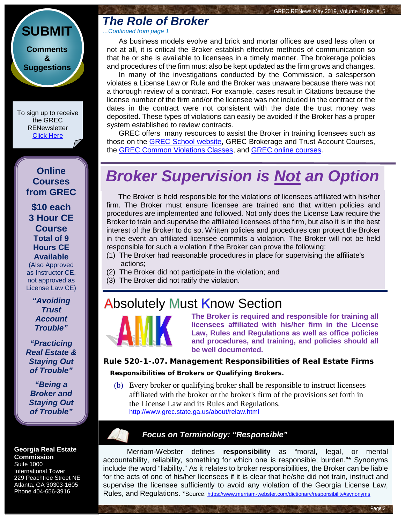#### **[SUBMIT](http://www.jmre.com/grecrenewscomments2014.htm) [Comments](http://www.jmre.com/grecrenewscomments2014.htm) [&](http://www.jmre.com/grecrenewscomments2014.htm) [Suggestions](http://www.jmre.com/grecrenewscomments2014.htm)**

To sign up to receive the GREC **RENewsletter** [Click Here](https://www.grec.state.ga.us/about/subscribe.html)

> **Online Courses from GREC**

**[\\$10 each](http://www.jmre.com/grec) [3 Hour CE](http://www.jmre.com/grec)  [Course](http://www.jmre.com/grec) [Total of 9](http://www.jmre.com/grec)  [Hours CE](http://www.jmre.com/grec)  [Available](http://www.jmre.com/grec)**

[\(Also Approved](http://www.jmre.com/grec)  [as Instructor CE,](http://www.jmre.com/grec)  [not approved as](http://www.jmre.com/grec)  [License Law CE\)](http://www.jmre.com/grec)

> *["Avoiding](http://www.jmre.com/grec)  [Trust](http://www.jmre.com/grec)  [Account](http://www.jmre.com/grec)  [Trouble"](http://www.jmre.com/grec)*

*["Practicing](http://www.jmre.com/grec)  [Real Estate &](http://www.jmre.com/grec)  [Staying Out](http://www.jmre.com/grec)  [of Trouble"](http://www.jmre.com/grec)*

*["Being a](http://www.jmre.com/grec)  [Broker and](http://www.jmre.com/grec)  [Staying Out](http://www.jmre.com/grec)  [of Trouble"](http://www.jmre.com/grec)*

**Georgia Real Estate Commission** Suite 1000

International Tower 229 Peachtree Street NE Atlanta, GA 30303-1605 Phone 404-656-3916

## *The Role of Broker*

*…Continued from page 1*

As business models evolve and brick and mortar offices are used less often or not at all, it is critical the Broker establish effective methods of communication so that he or she is available to licensees in a timely manner. The brokerage policies and procedures of the firm must also be kept updated as the firm grows and changes.

In many of the investigations conducted by the Commission, a salesperson violates a License Law or Rule and the Broker was unaware because there was not a thorough review of a contract. For example, cases result in Citations because the license number of the firm and/or the licensee was not included in the contract or the dates in the contract were not consistent with the date the trust money was deposited. These types of violations can easily be avoided if the Broker has a proper system established to review contracts.

GREC offers many resources to assist the Broker in training licensees such as those on the **GREC School website**, GREC Brokerage and Trust Account Courses, the [GREC Common Violations Classes,](http://www.grec.state.ga.us/PDFS/About/newsarticles/2019%20Course%20Dates%20and%20Locations_.pdf) and [GREC online courses.](https://jmre.com/grec/)

## *Broker Supervision is Not an Option*

The Broker is held responsible for the violations of licensees affiliated with his/her firm. The Broker must ensure licensee are trained and that written policies and procedures are implemented and followed. Not only does the License Law require the Broker to train and supervise the affiliated licensees of the firm, but also it is in the best interest of the Broker to do so. Written policies and procedures can protect the Broker in the event an affiliated licensee commits a violation. The Broker will not be held responsible for such a violation if the Broker can prove the following:

- (1) The Broker had reasonable procedures in place for supervising the affiliate's actions;
- (2) The Broker did not participate in the violation; and
- (3) The Broker did not ratify the violation.

## **Absolutely Must Know Section**



**The Broker is required and responsible for training all licensees affiliated with his/her firm in the License Law, Rules and Regulations as well as office policies and procedures, and training, and policies should all be well documented.**

#### **Rule 520-1-.07. Management Responsibilities of Real Estate Firms Responsibilities of Brokers or Qualifying Brokers.**

(b) Every broker or qualifying broker shall be responsible to instruct licensees affiliated with the broker or the broker's firm of the provisions set forth in the License Law and its Rules and Regulations. <http://www.grec.state.ga.us/about/relaw.html>

#### *Focus on Terminology: "Responsible"*

Merriam-Webster defines **responsibility** as "moral, legal, or mental accountability, reliability, something for which one is responsible; burden."\* Synonyms include the word "liability." As it relates to broker responsibilities, the Broker can be liable for the acts of one of his/her licensees if it is clear that he/she did not train, instruct and supervise the licensee sufficiently to avoid any violation of the Georgia License Law, Rules, and Regulations. \*Source[: https://www.merriam-webster.com/dictionary/responsibility#synonyms](https://www.merriam-webster.com/dictionary/responsibility#synonyms)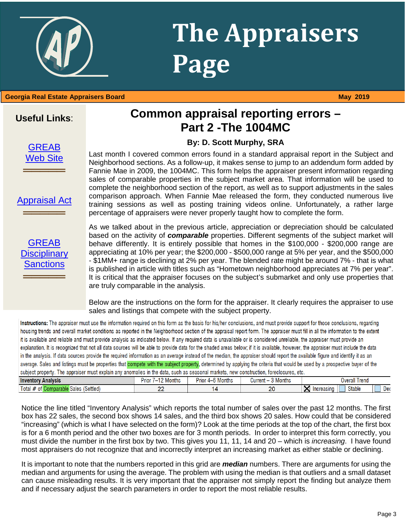### **Georgia Real Estate Appraisers Board May 2019**

#### **Common appraisal reporting errors – Part 2 -The 1004MC**

**Page**

**The Appraisers** 

#### **By: D. Scott Murphy, SRA**

Last month I covered common errors found in a standard appraisal report in the Subject and Neighborhood sections. As a follow-up, it makes sense to jump to an addendum form added by Fannie Mae in 2009, the 1004MC. This form helps the appraiser present information regarding sales of comparable properties in the subject market area. That information will be used to complete the neighborhood section of the report, as well as to support adjustments in the sales comparison approach. When Fannie Mae released the form, they conducted numerous live training sessions as well as posting training videos online. Unfortunately, a rather large percentage of appraisers were never properly taught how to complete the form.

rity of *comparable* properties. Different segments of the su<br>The State Approximation of the \$100,000 - \$20%<br>We per year; the \$200,000 - \$500,000 range at 5% per year, a is published in article with titles such as "Hometown neighborhood appreciates at 7% per year".<br>It is critical that the appraiser focuses on the subject's submarket and only use properties that<br>are truly comparable in the As we talked about in the previous article, appreciation or depreciation should be calculated based on the activity of *comparable* properties. Different segments of the subject market will behave differently. It is entirely possible that homes in the \$100,000 - \$200,000 range are appreciating at 10% per year; the \$200,000 - \$500,000 range at 5% per year, and the \$500,000 - \$1MM+ range is declining at 2% per year. The blended rate might be around 7% - that is what It is critical that the appraiser focuses on the subject's submarket and only use properties that are truly comparable in the analysis.

Below are the instructions on the form for the appraiser. It clearly requires the appraiser to use sales and listings that compete with the subject property.

Instructions: The appraiser must use the information required on this form as the basis for his/her conclusions, and must provide support for those conclusions, regarding housing trends and overall market conditions as reported in the Neighborhood section of the appraisal report form. The appraiser must fill in all the information to the extent it is available and reliable and must provide analysis as indicated below. If any required data is unavailable or is considered unreliable, the appraiser must provide an explanation. It is recognized that not all data sources will be able to provide data for the shaded areas below; if it is available, however, the appraiser must include the data in the analysis. If data sources provide the required information as an average instead of the median, the appraiser should report the available figure and identify it as an average. Sales and listings must be properties that compete with the subject property, determined by applying the criteria that would be used by a prospective buyer of the subject property. The appraiser must explain any anomalies in the data, such as seasonal markets, new construction, foreclosures, etc.

| <b>Inventor</b><br>y Analysis.    | $\sim$ $\sim$<br>P <sub>rio</sub><br>Months | Prior<br>anthu<br>'O IVIOHUIS<br>$\mathbf{u}$ | .<br>Current<br>3 Months | Trend<br>Overall                                          |
|-----------------------------------|---------------------------------------------|-----------------------------------------------|--------------------------|-----------------------------------------------------------|
| Total<br>(Settled،<br>sales<br>0T | $\sim$<br><u>__</u>                         |                                               | oc<br><u>L</u>           | <b>Stable</b><br>n.<br>Inoragone<br>Dei<br>… υποιθάδιπο τ |
|                                   |                                             |                                               |                          |                                                           |

Notice the line titled "Inventory Analysis" which reports the total number of sales over the past 12 months. The first box has 22 sales, the second box shows 14 sales, and the third box shows 20 sales. How could that be considered "increasing" (which is what I have selected on the form)? Look at the time periods at the top of the chart, the first box is for a 6 month period and the other two boxes are for 3 month periods. In order to interpret this form correctly, you must divide the number in the first box by two. This gives you 11, 11, 14 and 20 – which is *increasing*. I have found most appraisers do not recognize that and incorrectly interpret an increasing market as either stable or declining.

It is important to note that the numbers reported in this grid are *median* numbers. There are arguments for using the median and arguments for using the average. The problem with using the median is that outliers and a small dataset can cause misleading results. It is very important that the appraiser not simply report the finding but analyze them and if necessary adjust the search parameters in order to report the most reliable results.

#### **Useful Links**:



**═════**

[Appraisal Act](http://www.grec.state.ga.us/about/appraisersact.html)

**═════**

#### [GREAB](http://www.grec.state.ga.us/about/apprsanctions.html)  **Disciplinary**

**[Sanctions](http://www.grec.state.ga.us/about/apprsanctions.html)** 

**═════**

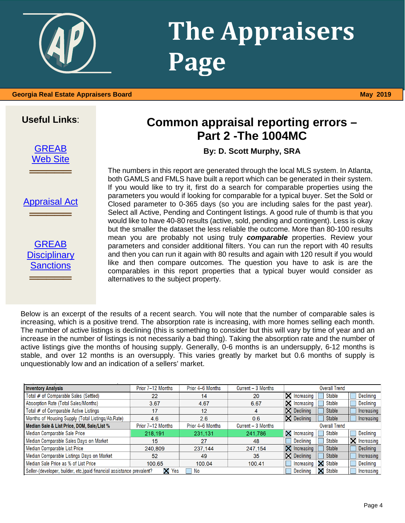## **The Appraisers Page**

 **Georgia Real Estate Appraisers Board May 2019**

#### **Useful Links**:

[GREAB](http://www.grec.state.ga.us/about/greab.html) [Web Site](http://www.grec.state.ga.us/about/greab.html)

**═════**

#### [Appraisal Act](http://www.grec.state.ga.us/about/appraisersact.html)

═══════════════

[GREAB](http://www.grec.state.ga.us/about/apprsanctions.html)  **Disciplinary** [Sanctions](http://www.grec.state.ga.us/about/apprsanctions.html) ═══════════════

#### **Common appraisal reporting errors – Part 2 -The 1004MC**

**By: D. Scott Murphy, SRA**

The numbers in this report are generated through the local MLS system. In Atlanta, both GAMLS and FMLS have built a report which can be generated in their system. If you would like to try it, first do a search for comparable properties using the parameters you would if looking for comparable for a typical buyer. Set the Sold or Closed parameter to 0-365 days (so you are including sales for the past year). Select all Active, Pending and Contingent listings. A good rule of thumb is that you would like to have 40-80 results (active, sold, pending and contingent). Less is okay but the smaller the dataset the less reliable the outcome. More than 80-100 results mean you are probably not using truly *comparable* properties. Review your parameters and consider additional filters. You can run the report with 40 results and then you can run it again with 80 results and again with 120 result if you would like and then compare outcomes. The question you have to ask is are the comparables in this report properties that a typical buyer would consider as alternatives to the subject property.

Below is an excerpt of the results of a recent search. You will note that the number of comparable sales is increasing, which is a positive trend. The absorption rate is increasing, with more homes selling each month. The number of active listings is declining (this is something to consider but this will vary by time of year and an increase in the number of listings is not necessarily a bad thing). Taking the absorption rate and the number of active listings give the months of housing supply. Generally, 0-6 months is an undersupply, 6-12 months is stable, and over 12 months is an oversupply. This varies greatly by market but 0.6 months of supply is unquestionably low and an indication of a sellers' market.

| <b>Inventory Analysis</b>                                              | Prior 7-12 Months | Prior 4-6 Months | Current - 3 Months | <b>Overall Trend</b>                                  |
|------------------------------------------------------------------------|-------------------|------------------|--------------------|-------------------------------------------------------|
| Total # of Comparable Sales (Settled)                                  | 22                | 14               | 20                 | $\times$ Increasing<br>Declining<br><b>Stable</b>     |
| Absorption Rate (Total Sales/Months)                                   | 3.67              | 4.67             | 6.67               | $\times$ Increasing<br><b>Declining</b><br>Stable     |
| Total # of Comparable Active Listings                                  | 17                | 12               | 4                  | $\boxtimes$ Declining<br><b>Stable</b><br>Increasing  |
| Months of Housing Supply (Total Listings/Ab.Rate)                      | 4.6               | 2.6              | 0.6                | $\boxtimes$ Declining<br><b>Stable</b><br>Increasing  |
| Median Sale & List Price, DOM, Sale/List %                             | Prior 7-12 Months | Prior 4-6 Months | Current - 3 Months | <b>Overall Trend</b>                                  |
| Median Comparable Sale Price                                           | 218,191           | 231,131          | 241,786            | X<br><b>Declining</b><br>Stable<br>Increasing         |
| Median Comparable Sales Days on Market                                 | 15                | 27               | 48                 | $\times$ Increasing<br>Declining<br>Stable            |
| Median Comparable List Price                                           | 240.809           | 237,144          | 247,154            | X.<br><b>Stable</b><br><b>Declining</b><br>Increasing |
| Median Comparable Listings Days on Market                              | 52                | 49               | 35                 | $\boxtimes$ Declining<br><b>Stable</b><br>Increasing  |
| Median Sale Price as % of List Price                                   | 100.65            | 100.04           | 100.41             | <b>X</b> Stable<br>Declining<br>Increasing            |
| Seller-(developer, builder, etc.) paid financial assistance prevalent? | X<br>Yes          | No               |                    | X<br>Stable<br><b>Declining</b><br>Increasing         |